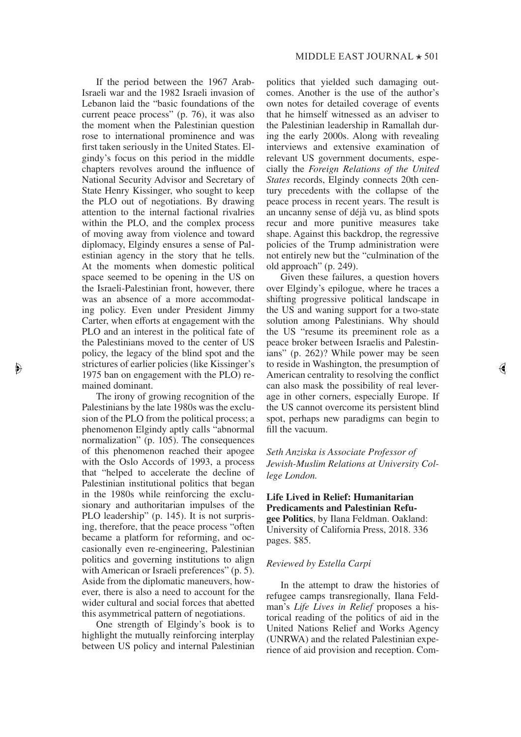If the period between the 1967 Arab-Israeli war and the 1982 Israeli invasion of Lebanon laid the "basic foundations of the current peace process" (p. 76), it was also the moment when the Palestinian question rose to international prominence and was first taken seriously in the United States. Elgindy's focus on this period in the middle chapters revolves around the influence of National Security Advisor and Secretary of State Henry Kissinger, who sought to keep the PLO out of negotiations. By drawing attention to the internal factional rivalries within the PLO, and the complex process of moving away from violence and toward diplomacy, Elgindy ensures a sense of Palestinian agency in the story that he tells. At the moments when domestic political space seemed to be opening in the US on the Israeli-Palestinian front, however, there was an absence of a more accommodating policy. Even under President Jimmy Carter, when efforts at engagement with the PLO and an interest in the political fate of the Palestinians moved to the center of US policy, the legacy of the blind spot and the strictures of earlier policies (like Kissinger's 1975 ban on engagement with the PLO) remained dominant.

The irony of growing recognition of the Palestinians by the late 1980s was the exclusion of the PLO from the political process; a phenomenon Elgindy aptly calls "abnormal normalization" (p. 105). The consequences of this phenomenon reached their apogee with the Oslo Accords of 1993, a process that "helped to accelerate the decline of Palestinian institutional politics that began in the 1980s while reinforcing the exclusionary and authoritarian impulses of the PLO leadership" (p. 145). It is not surprising, therefore, that the peace process "often became a platform for reforming, and occasionally even re-engineering, Palestinian politics and governing institutions to align with American or Israeli preferences" (p. 5). Aside from the diplomatic maneuvers, however, there is also a need to account for the wider cultural and social forces that abetted this asymmetrical pattern of negotiations.

 $\blacktriangleright$ 

One strength of Elgindy's book is to highlight the mutually reinforcing interplay between US policy and internal Palestinian politics that yielded such damaging outcomes. Another is the use of the author's own notes for detailed coverage of events that he himself witnessed as an adviser to the Palestinian leadership in Ramallah during the early 2000s. Along with revealing interviews and extensive examination of relevant US government documents, especially the *Foreign Relations of the United States* records, Elgindy connects 20th century precedents with the collapse of the peace process in recent years. The result is an uncanny sense of déjà vu, as blind spots recur and more punitive measures take shape. Against this backdrop, the regressive policies of the Trump administration were not entirely new but the "culmination of the old approach" (p. 249).

Given these failures, a question hovers over Elgindy's epilogue, where he traces a shifting progressive political landscape in the US and waning support for a two-state solution among Palestinians. Why should the US "resume its preeminent role as a peace broker between Israelis and Palestinians" (p. 262)? While power may be seen to reside in Washington, the presumption of American centrality to resolving the conflict can also mask the possibility of real leverage in other corners, especially Europe. If the US cannot overcome its persistent blind spot, perhaps new paradigms can begin to fill the vacuum.

*Seth Anziska is Associate Professor of Jewish-Muslim Relations at University College London.*

## **Life Lived in Relief: Humanitarian Predicaments and Palestinian Refugee Politics**, by Ilana Feldman. Oakland:

University of California Press, 2018. 336 pages. \$85.

## *Reviewed by Estella Carpi*

In the attempt to draw the histories of refugee camps transregionally, Ilana Feldman's *Life Lives in Relief* proposes a historical reading of the politics of aid in the United Nations Relief and Works Agency (UNRWA) and the related Palestinian experience of aid provision and reception. Com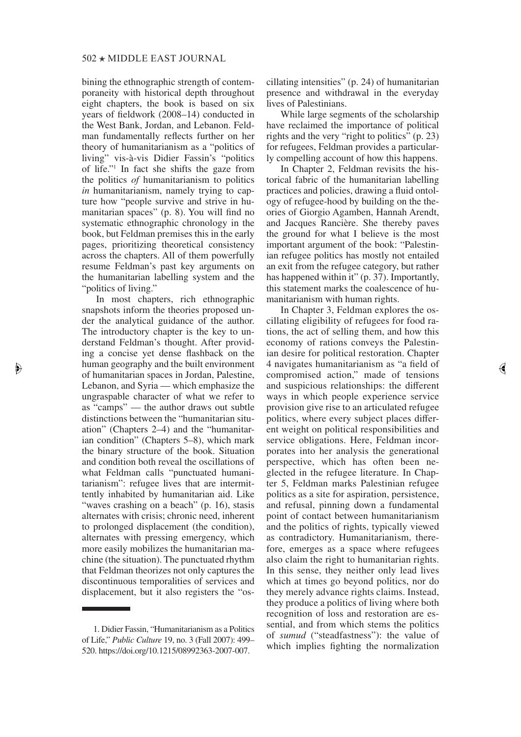bining the ethnographic strength of contemporaneity with historical depth throughout eight chapters, the book is based on six years of fieldwork (2008–14) conducted in the West Bank, Jordan, and Lebanon. Feldman fundamentally reflects further on her theory of humanitarianism as a "politics of living" vis-à-vis Didier Fassin's "politics of life."1 In fact she shifts the gaze from the politics *of* humanitarianism to politics *in* humanitarianism, namely trying to capture how "people survive and strive in humanitarian spaces" (p. 8). You will find no systematic ethnographic chronology in the book, but Feldman premises this in the early pages, prioritizing theoretical consistency across the chapters. All of them powerfully resume Feldman's past key arguments on the humanitarian labelling system and the "politics of living."

In most chapters, rich ethnographic snapshots inform the theories proposed under the analytical guidance of the author. The introductory chapter is the key to understand Feldman's thought. After providing a concise yet dense flashback on the human geography and the built environment of humanitarian spaces in Jordan, Palestine, Lebanon, and Syria — which emphasize the ungraspable character of what we refer to as "camps" — the author draws out subtle distinctions between the "humanitarian situation" (Chapters 2–4) and the "humanitarian condition" (Chapters 5–8), which mark the binary structure of the book. Situation and condition both reveal the oscillations of what Feldman calls "punctuated humanitarianism": refugee lives that are intermittently inhabited by humanitarian aid. Like "waves crashing on a beach" (p. 16), stasis alternates with crisis; chronic need, inherent to prolonged displacement (the condition), alternates with pressing emergency, which more easily mobilizes the humanitarian machine (the situation). The punctuated rhythm that Feldman theorizes not only captures the discontinuous temporalities of services and displacement, but it also registers the "os-

 $\blacktriangleright$ 

cillating intensities" (p. 24) of humanitarian presence and withdrawal in the everyday lives of Palestinians.

While large segments of the scholarship have reclaimed the importance of political rights and the very "right to politics" (p. 23) for refugees, Feldman provides a particularly compelling account of how this happens.

In Chapter 2, Feldman revisits the historical fabric of the humanitarian labelling practices and policies, drawing a fluid ontology of refugee-hood by building on the theories of Giorgio Agamben, Hannah Arendt, and Jacques Rancière. She thereby paves the ground for what I believe is the most important argument of the book: "Palestinian refugee politics has mostly not entailed an exit from the refugee category, but rather has happened within it" (p. 37). Importantly, this statement marks the coalescence of humanitarianism with human rights.

In Chapter 3, Feldman explores the oscillating eligibility of refugees for food rations, the act of selling them, and how this economy of rations conveys the Palestinian desire for political restoration. Chapter 4 navigates humanitarianism as "a field of compromised action," made of tensions and suspicious relationships: the diferent ways in which people experience service provision give rise to an articulated refugee politics, where every subject places diferent weight on political responsibilities and service obligations. Here, Feldman incorporates into her analysis the generational perspective, which has often been neglected in the refugee literature. In Chapter 5, Feldman marks Palestinian refugee politics as a site for aspiration, persistence, and refusal, pinning down a fundamental point of contact between humanitarianism and the politics of rights, typically viewed as contradictory. Humanitarianism, therefore, emerges as a space where refugees also claim the right to humanitarian rights. In this sense, they neither only lead lives which at times go beyond politics, nor do they merely advance rights claims. Instead, they produce a politics of living where both recognition of loss and restoration are essential, and from which stems the politics of *sumud* ("steadfastness"): the value of which implies fighting the normalization

 $\Theta$ 

<sup>1.</sup> Didier Fassin, "Humanitarianism as a Politics of Life," *Public Culture* 19, no. 3 (Fall 2007): 499– 520. https://doi.org/10.1215/08992363-2007-007.